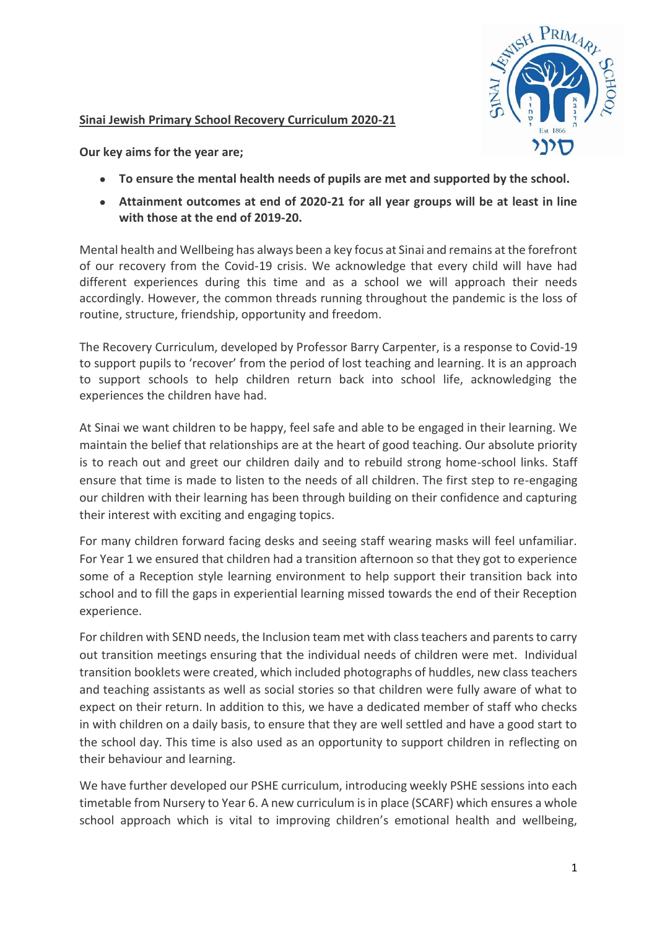#### **Sinai Jewish Primary School Recovery Curriculum 2020-21**



**Our key aims for the year are;** 

- **To ensure the mental health needs of pupils are met and supported by the school.**
- **Attainment outcomes at end of 2020-21 for all year groups will be at least in line with those at the end of 2019-20.**

Mental health and Wellbeing has always been a key focus at Sinai and remains at the forefront of our recovery from the Covid-19 crisis. We acknowledge that every child will have had different experiences during this time and as a school we will approach their needs accordingly. However, the common threads running throughout the pandemic is the loss of routine, structure, friendship, opportunity and freedom.

The Recovery Curriculum, developed by Professor Barry Carpenter, is a response to Covid-19 to support pupils to 'recover' from the period of lost teaching and learning. It is an approach to support schools to help children return back into school life, acknowledging the experiences the children have had.

At Sinai we want children to be happy, feel safe and able to be engaged in their learning. We maintain the belief that relationships are at the heart of good teaching. Our absolute priority is to reach out and greet our children daily and to rebuild strong home-school links. Staff ensure that time is made to listen to the needs of all children. The first step to re-engaging our children with their learning has been through building on their confidence and capturing their interest with exciting and engaging topics.

For many children forward facing desks and seeing staff wearing masks will feel unfamiliar. For Year 1 we ensured that children had a transition afternoon so that they got to experience some of a Reception style learning environment to help support their transition back into school and to fill the gaps in experiential learning missed towards the end of their Reception experience.

For children with SEND needs, the Inclusion team met with class teachers and parents to carry out transition meetings ensuring that the individual needs of children were met. Individual transition booklets were created, which included photographs of huddles, new class teachers and teaching assistants as well as social stories so that children were fully aware of what to expect on their return. In addition to this, we have a dedicated member of staff who checks in with children on a daily basis, to ensure that they are well settled and have a good start to the school day. This time is also used as an opportunity to support children in reflecting on their behaviour and learning.

We have further developed our PSHE curriculum, introducing weekly PSHE sessions into each timetable from Nursery to Year 6. A new curriculum is in place (SCARF) which ensures a whole school approach which is vital to improving children's emotional health and wellbeing,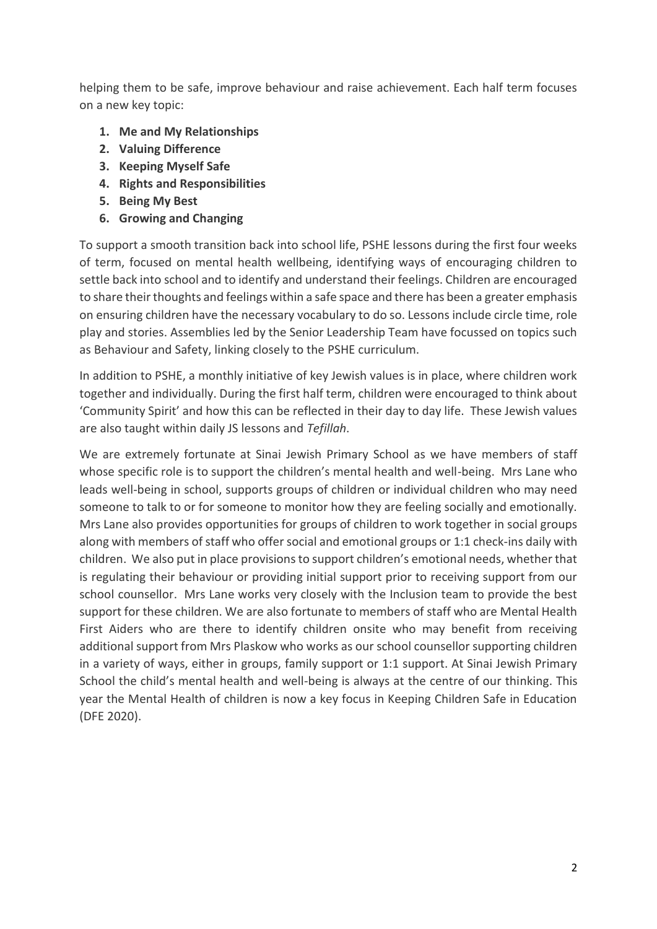helping them to be safe, improve behaviour and raise achievement. Each half term focuses on a new key topic:

- **1. Me and My Relationships**
- **2. Valuing Difference**
- **3. Keeping Myself Safe**
- **4. Rights and Responsibilities**
- **5. Being My Best**
- **6. Growing and Changing**

To support a smooth transition back into school life, PSHE lessons during the first four weeks of term, focused on mental health wellbeing, identifying ways of encouraging children to settle back into school and to identify and understand their feelings. Children are encouraged to share their thoughts and feelings within a safe space and there has been a greater emphasis on ensuring children have the necessary vocabulary to do so. Lessons include circle time, role play and stories. Assemblies led by the Senior Leadership Team have focussed on topics such as Behaviour and Safety, linking closely to the PSHE curriculum.

In addition to PSHE, a monthly initiative of key Jewish values is in place, where children work together and individually. During the first half term, children were encouraged to think about 'Community Spirit' and how this can be reflected in their day to day life. These Jewish values are also taught within daily JS lessons and *Tefillah*.

We are extremely fortunate at Sinai Jewish Primary School as we have members of staff whose specific role is to support the children's mental health and well-being. Mrs Lane who leads well-being in school, supports groups of children or individual children who may need someone to talk to or for someone to monitor how they are feeling socially and emotionally. Mrs Lane also provides opportunities for groups of children to work together in social groups along with members of staff who offer social and emotional groups or 1:1 check-ins daily with children. We also put in place provisions to support children's emotional needs, whether that is regulating their behaviour or providing initial support prior to receiving support from our school counsellor. Mrs Lane works very closely with the Inclusion team to provide the best support for these children. We are also fortunate to members of staff who are Mental Health First Aiders who are there to identify children onsite who may benefit from receiving additional support from Mrs Plaskow who works as our school counsellor supporting children in a variety of ways, either in groups, family support or 1:1 support. At Sinai Jewish Primary School the child's mental health and well-being is always at the centre of our thinking. This year the Mental Health of children is now a key focus in Keeping Children Safe in Education (DFE 2020).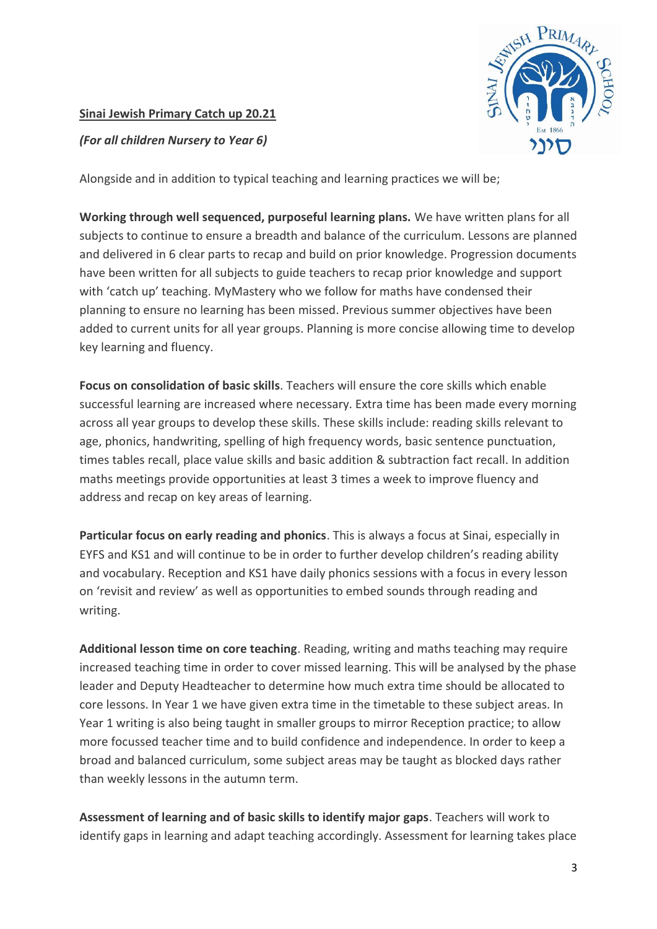## **Sinai Jewish Primary Catch up 20.21**



*(For all children Nursery to Year 6)*

Alongside and in addition to typical teaching and learning practices we will be;

**Working through well sequenced, purposeful learning plans.** We have written plans for all subjects to continue to ensure a breadth and balance of the curriculum. Lessons are planned and delivered in 6 clear parts to recap and build on prior knowledge. Progression documents have been written for all subjects to guide teachers to recap prior knowledge and support with 'catch up' teaching. MyMastery who we follow for maths have condensed their planning to ensure no learning has been missed. Previous summer objectives have been added to current units for all year groups. Planning is more concise allowing time to develop key learning and fluency.

**Focus on consolidation of basic skills**. Teachers will ensure the core skills which enable successful learning are increased where necessary. Extra time has been made every morning across all year groups to develop these skills. These skills include: reading skills relevant to age, phonics, handwriting, spelling of high frequency words, basic sentence punctuation, times tables recall, place value skills and basic addition & subtraction fact recall. In addition maths meetings provide opportunities at least 3 times a week to improve fluency and address and recap on key areas of learning.

**Particular focus on early reading and phonics**. This is always a focus at Sinai, especially in EYFS and KS1 and will continue to be in order to further develop children's reading ability and vocabulary. Reception and KS1 have daily phonics sessions with a focus in every lesson on 'revisit and review' as well as opportunities to embed sounds through reading and writing.

**Additional lesson time on core teaching**. Reading, writing and maths teaching may require increased teaching time in order to cover missed learning. This will be analysed by the phase leader and Deputy Headteacher to determine how much extra time should be allocated to core lessons. In Year 1 we have given extra time in the timetable to these subject areas. In Year 1 writing is also being taught in smaller groups to mirror Reception practice; to allow more focussed teacher time and to build confidence and independence. In order to keep a broad and balanced curriculum, some subject areas may be taught as blocked days rather than weekly lessons in the autumn term.

**Assessment of learning and of basic skills to identify major gaps**. Teachers will work to identify gaps in learning and adapt teaching accordingly. Assessment for learning takes place